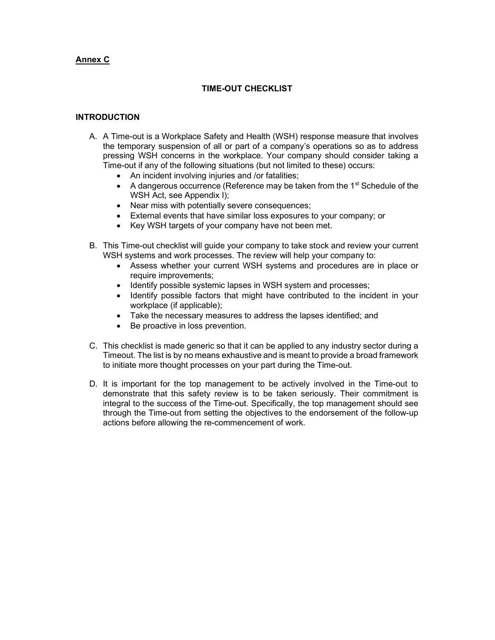### Annex C

### TIME-OUT CHECKLIST

#### **INTRODUCTION**

- A. A Time-out is a Workplace Safety and Health (WSH) response measure that involves the temporary suspension of all or part of a company's operations so as to address pressing WSH concerns in the workplace. Your company should consider taking a Time-out if any of the following situations (but not limited to these) occurs:
	- An incident involving injuries and /or fatalities;
	- $\bullet$  A dangerous occurrence (Reference may be taken from the 1<sup>st</sup> Schedule of the WSH Act, see Appendix I);
	- Near miss with potentially severe consequences;
	- External events that have similar loss exposures to your company; or
	- Key WSH targets of your company have not been met.
- B. This Time-out checklist will guide your company to take stock and review your current WSH systems and work processes. The review will help your company to:
	- Assess whether your current WSH systems and procedures are in place or require improvements;
	- Identify possible systemic lapses in WSH system and processes;
	- Identify possible factors that might have contributed to the incident in your workplace (if applicable);
	- Take the necessary measures to address the lapses identified; and
	- Be proactive in loss prevention.
- C. This checklist is made generic so that it can be applied to any industry sector during a Timeout. The list is by no means exhaustive and is meant to provide a broad framework to initiate more thought processes on your part during the Time-out.
- D. It is important for the top management to be actively involved in the Time-out to demonstrate that this safety review is to be taken seriously. Their commitment is integral to the success of the Time-out. Specifically, the top management should see through the Time-out from setting the objectives to the endorsement of the follow-up actions before allowing the re-commencement of work.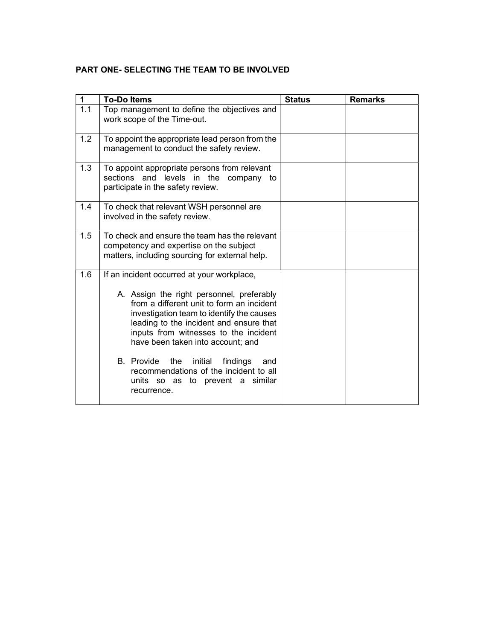### PART ONE- SELECTING THE TEAM TO BE INVOLVED

| $\mathbf 1$ | <b>To-Do Items</b>                                                                                                                                                                                                                                           | <b>Status</b> | <b>Remarks</b> |
|-------------|--------------------------------------------------------------------------------------------------------------------------------------------------------------------------------------------------------------------------------------------------------------|---------------|----------------|
| 1.1         | Top management to define the objectives and<br>work scope of the Time-out.                                                                                                                                                                                   |               |                |
| 1.2         | To appoint the appropriate lead person from the<br>management to conduct the safety review.                                                                                                                                                                  |               |                |
| 1.3         | To appoint appropriate persons from relevant<br>sections and levels in the<br>company to<br>participate in the safety review.                                                                                                                                |               |                |
| 1.4         | To check that relevant WSH personnel are<br>involved in the safety review.                                                                                                                                                                                   |               |                |
| 1.5         | To check and ensure the team has the relevant<br>competency and expertise on the subject<br>matters, including sourcing for external help.                                                                                                                   |               |                |
| 1.6         | If an incident occurred at your workplace,                                                                                                                                                                                                                   |               |                |
|             | A. Assign the right personnel, preferably<br>from a different unit to form an incident<br>investigation team to identify the causes<br>leading to the incident and ensure that<br>inputs from witnesses to the incident<br>have been taken into account; and |               |                |
|             | B. Provide<br>the<br>initial<br>findings<br>and<br>recommendations of the incident to all<br>units so as to prevent a similar<br>recurrence.                                                                                                                 |               |                |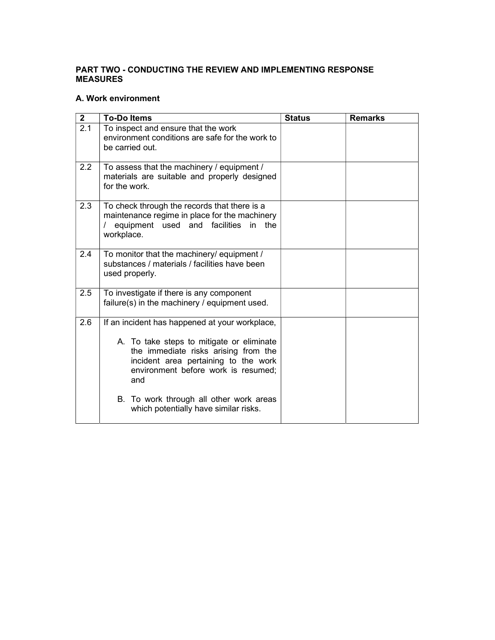### PART TWO - CONDUCTING THE REVIEW AND IMPLEMENTING RESPONSE MEASURES

### A. Work environment

| $\overline{2}$ | <b>To-Do Items</b>                                                                                                                                                      | <b>Status</b> | <b>Remarks</b> |
|----------------|-------------------------------------------------------------------------------------------------------------------------------------------------------------------------|---------------|----------------|
| 2.1            | To inspect and ensure that the work<br>environment conditions are safe for the work to<br>be carried out.                                                               |               |                |
| 2.2            | To assess that the machinery / equipment /<br>materials are suitable and properly designed<br>for the work.                                                             |               |                |
| 2.3            | To check through the records that there is a<br>maintenance regime in place for the machinery<br>equipment used and<br>facilities<br>in<br>the<br>workplace.            |               |                |
| 2.4            | To monitor that the machinery/ equipment /<br>substances / materials / facilities have been<br>used properly.                                                           |               |                |
| 2.5            | To investigate if there is any component<br>failure(s) in the machinery / equipment used.                                                                               |               |                |
| 2.6            | If an incident has happened at your workplace,                                                                                                                          |               |                |
|                | A. To take steps to mitigate or eliminate<br>the immediate risks arising from the<br>incident area pertaining to the work<br>environment before work is resumed;<br>and |               |                |
|                | B. To work through all other work areas<br>which potentially have similar risks.                                                                                        |               |                |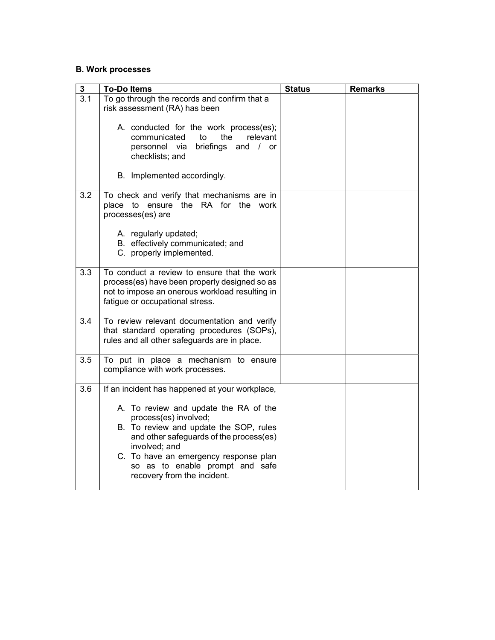## B. Work processes

| ${\bf 3}$        | <b>To-Do Items</b>                                                                                                                                                                                                                                                                                                                | <b>Status</b> | <b>Remarks</b> |
|------------------|-----------------------------------------------------------------------------------------------------------------------------------------------------------------------------------------------------------------------------------------------------------------------------------------------------------------------------------|---------------|----------------|
| 3.1              | To go through the records and confirm that a<br>risk assessment (RA) has been                                                                                                                                                                                                                                                     |               |                |
|                  | A. conducted for the work process(es);<br>communicated<br>to<br>the<br>relevant<br>personnel via<br>briefings and / or<br>checklists; and                                                                                                                                                                                         |               |                |
|                  | B. Implemented accordingly.                                                                                                                                                                                                                                                                                                       |               |                |
| $\overline{3.2}$ | To check and verify that mechanisms are in<br>place to ensure the RA for the work<br>processes(es) are                                                                                                                                                                                                                            |               |                |
|                  | A. regularly updated;<br>B. effectively communicated; and<br>C. properly implemented.                                                                                                                                                                                                                                             |               |                |
| 3.3              | To conduct a review to ensure that the work<br>process(es) have been properly designed so as<br>not to impose an onerous workload resulting in<br>fatigue or occupational stress.                                                                                                                                                 |               |                |
| 3.4              | To review relevant documentation and verify<br>that standard operating procedures (SOPs),<br>rules and all other safeguards are in place.                                                                                                                                                                                         |               |                |
| 3.5              | To put in place a mechanism to ensure<br>compliance with work processes.                                                                                                                                                                                                                                                          |               |                |
| 3.6              | If an incident has happened at your workplace,<br>A. To review and update the RA of the<br>process(es) involved;<br>B. To review and update the SOP, rules<br>and other safeguards of the process(es)<br>involved; and<br>C. To have an emergency response plan<br>so as to enable prompt and safe<br>recovery from the incident. |               |                |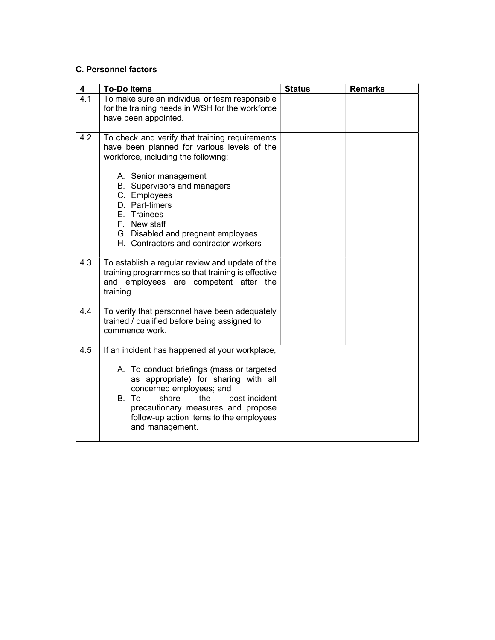### C. Personnel factors

| 4   | <b>To-Do Items</b>                                                                                                                                                                                                                                                                                                                          | <b>Status</b> | <b>Remarks</b> |
|-----|---------------------------------------------------------------------------------------------------------------------------------------------------------------------------------------------------------------------------------------------------------------------------------------------------------------------------------------------|---------------|----------------|
| 4.1 | To make sure an individual or team responsible<br>for the training needs in WSH for the workforce<br>have been appointed.                                                                                                                                                                                                                   |               |                |
| 4.2 | To check and verify that training requirements<br>have been planned for various levels of the<br>workforce, including the following:<br>A. Senior management<br>B. Supervisors and managers<br>C. Employees<br>D. Part-timers<br>E. Trainees<br>F. New staff<br>G. Disabled and pregnant employees<br>H. Contractors and contractor workers |               |                |
| 4.3 | To establish a regular review and update of the<br>training programmes so that training is effective<br>and employees are competent after the<br>training.                                                                                                                                                                                  |               |                |
| 4.4 | To verify that personnel have been adequately<br>trained / qualified before being assigned to<br>commence work.                                                                                                                                                                                                                             |               |                |
| 4.5 | If an incident has happened at your workplace,<br>A. To conduct briefings (mass or targeted<br>as appropriate) for sharing with all<br>concerned employees; and<br>B. To<br>share<br>the<br>post-incident<br>precautionary measures and propose<br>follow-up action items to the employees<br>and management.                               |               |                |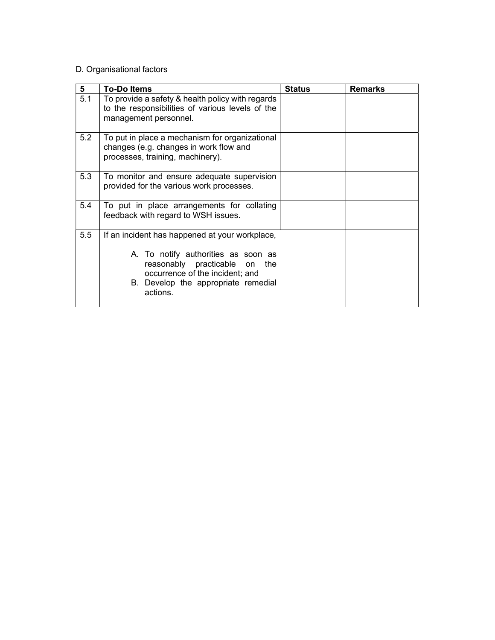# D. Organisational factors

| 5   | <b>To-Doltems</b>                                                                                                                                                                                               | <b>Status</b> | <b>Remarks</b> |
|-----|-----------------------------------------------------------------------------------------------------------------------------------------------------------------------------------------------------------------|---------------|----------------|
| 5.1 | To provide a safety & health policy with regards<br>to the responsibilities of various levels of the<br>management personnel.                                                                                   |               |                |
| 5.2 | To put in place a mechanism for organizational<br>changes (e.g. changes in work flow and<br>processes, training, machinery).                                                                                    |               |                |
| 5.3 | To monitor and ensure adequate supervision<br>provided for the various work processes.                                                                                                                          |               |                |
| 5.4 | To put in place arrangements for collating<br>feedback with regard to WSH issues.                                                                                                                               |               |                |
| 5.5 | If an incident has happened at your workplace,<br>A. To notify authorities as soon as<br>reasonably practicable on<br>the<br>occurrence of the incident; and<br>B. Develop the appropriate remedial<br>actions. |               |                |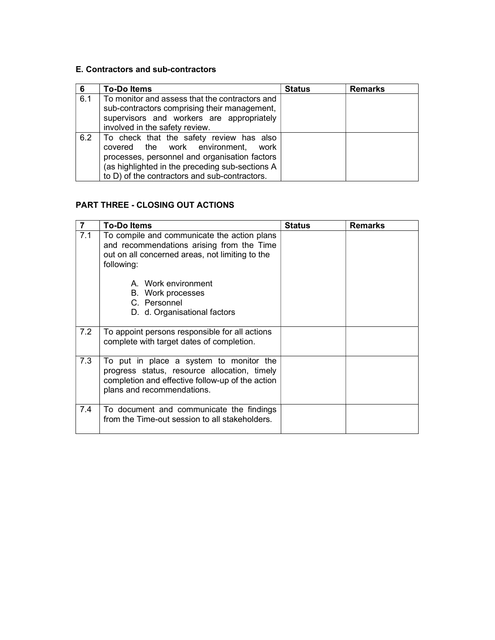### E. Contractors and sub-contractors

| 6   | <b>To-Dolltems</b>                                                                                                                                                                                                                     | <b>Status</b> | <b>Remarks</b> |
|-----|----------------------------------------------------------------------------------------------------------------------------------------------------------------------------------------------------------------------------------------|---------------|----------------|
| 6.1 | To monitor and assess that the contractors and<br>sub-contractors comprising their management,<br>supervisors and workers are appropriately<br>involved in the safety review.                                                          |               |                |
| 6.2 | To check that the safety review has also<br>covered the work environment,<br>work<br>processes, personnel and organisation factors<br>(as highlighted in the preceding sub-sections A<br>to D) of the contractors and sub-contractors. |               |                |

# PART THREE - CLOSING OUT ACTIONS

| $\overline{7}$ | <b>To-Doltems</b>                                                                                                                                                                                                     | <b>Status</b> | <b>Remarks</b> |
|----------------|-----------------------------------------------------------------------------------------------------------------------------------------------------------------------------------------------------------------------|---------------|----------------|
| 7.1            | To compile and communicate the action plans<br>and recommendations arising from the Time<br>out on all concerned areas, not limiting to the<br>following:<br>A. Work environment<br>B. Work processes<br>C. Personnel |               |                |
|                | D. d. Organisational factors                                                                                                                                                                                          |               |                |
| 7.2            | To appoint persons responsible for all actions<br>complete with target dates of completion.                                                                                                                           |               |                |
| 7.3            | To put in place a system to monitor the<br>progress status, resource allocation, timely<br>completion and effective follow-up of the action<br>plans and recommendations.                                             |               |                |
| 7.4            | To document and communicate the findings<br>from the Time-out session to all stakeholders.                                                                                                                            |               |                |